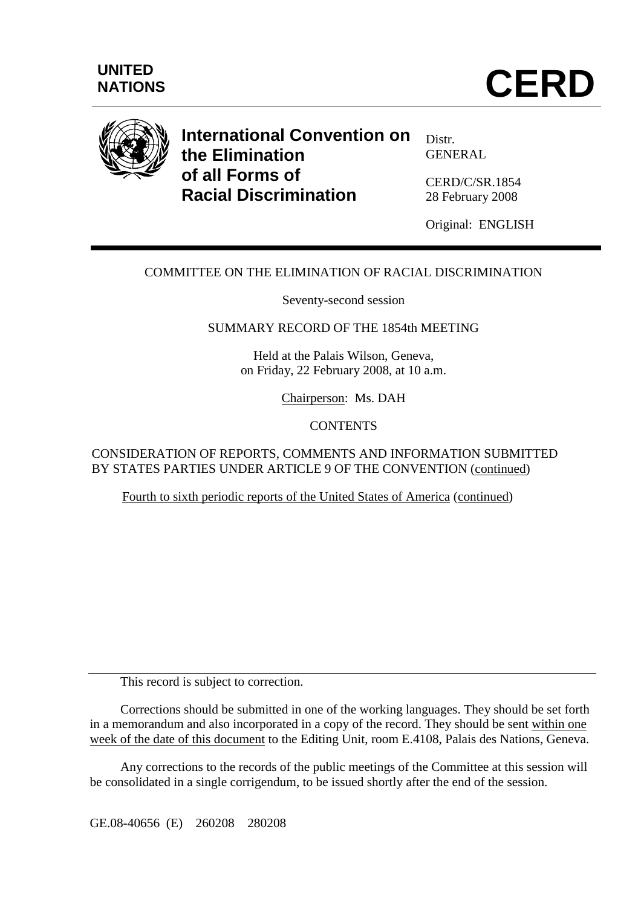



# **International Convention on the Elimination of all Forms of Racial Discrimination**

Distr. GENERAL

CERD/C/SR.1854 28 February 2008

Original: ENGLISH

## COMMITTEE ON THE ELIMINATION OF RACIAL DISCRIMINATION

Seventy-second session

#### SUMMARY RECORD OF THE 1854th MEETING

Held at the Palais Wilson, Geneva, on Friday, 22 February 2008, at 10 a.m.

Chairperson: Ms. DAH

#### **CONTENTS**

CONSIDERATION OF REPORTS, COMMENTS AND INFORMATION SUBMITTED BY STATES PARTIES UNDER ARTICLE 9 OF THE CONVENTION (continued)

Fourth to sixth periodic reports of the United States of America (continued)

This record is subject to correction.

 Corrections should be submitted in one of the working languages. They should be set forth in a memorandum and also incorporated in a copy of the record. They should be sent within one week of the date of this document to the Editing Unit, room E.4108, Palais des Nations, Geneva.

 Any corrections to the records of the public meetings of the Committee at this session will be consolidated in a single corrigendum, to be issued shortly after the end of the session.

GE.08-40656 (E) 260208 280208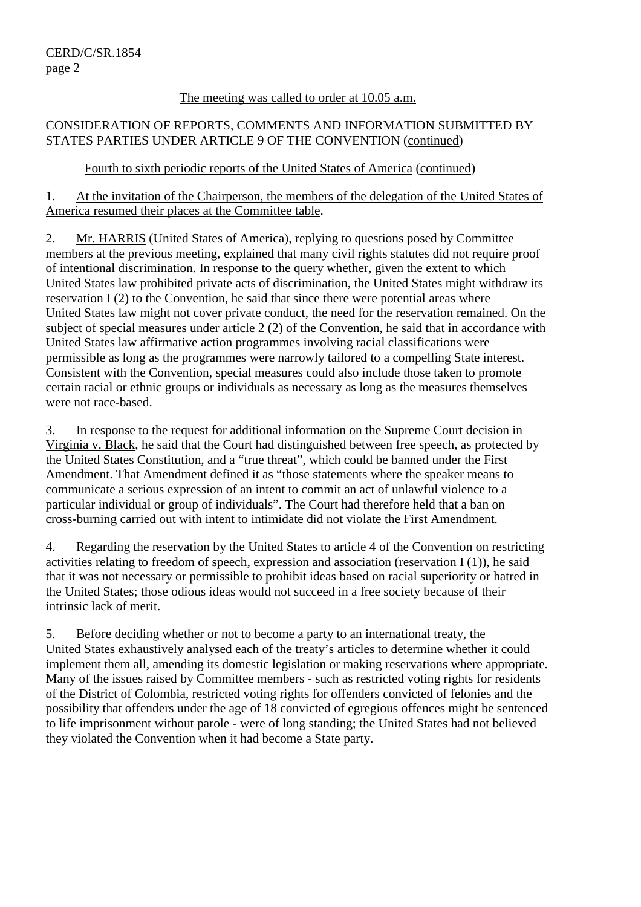#### The meeting was called to order at 10.05 a.m.

## CONSIDERATION OF REPORTS, COMMENTS AND INFORMATION SUBMITTED BY STATES PARTIES UNDER ARTICLE 9 OF THE CONVENTION (continued)

## Fourth to sixth periodic reports of the United States of America (continued)

1. At the invitation of the Chairperson, the members of the delegation of the United States of America resumed their places at the Committee table.

2. Mr. HARRIS (United States of America), replying to questions posed by Committee members at the previous meeting, explained that many civil rights statutes did not require proof of intentional discrimination. In response to the query whether, given the extent to which United States law prohibited private acts of discrimination, the United States might withdraw its reservation I (2) to the Convention, he said that since there were potential areas where United States law might not cover private conduct, the need for the reservation remained. On the subject of special measures under article 2 (2) of the Convention, he said that in accordance with United States law affirmative action programmes involving racial classifications were permissible as long as the programmes were narrowly tailored to a compelling State interest. Consistent with the Convention, special measures could also include those taken to promote certain racial or ethnic groups or individuals as necessary as long as the measures themselves were not race-based.

3. In response to the request for additional information on the Supreme Court decision in Virginia v. Black, he said that the Court had distinguished between free speech, as protected by the United States Constitution, and a "true threat", which could be banned under the First Amendment. That Amendment defined it as "those statements where the speaker means to communicate a serious expression of an intent to commit an act of unlawful violence to a particular individual or group of individuals". The Court had therefore held that a ban on cross-burning carried out with intent to intimidate did not violate the First Amendment.

4. Regarding the reservation by the United States to article 4 of the Convention on restricting activities relating to freedom of speech, expression and association (reservation I (1)), he said that it was not necessary or permissible to prohibit ideas based on racial superiority or hatred in the United States; those odious ideas would not succeed in a free society because of their intrinsic lack of merit.

5. Before deciding whether or not to become a party to an international treaty, the United States exhaustively analysed each of the treaty's articles to determine whether it could implement them all, amending its domestic legislation or making reservations where appropriate. Many of the issues raised by Committee members - such as restricted voting rights for residents of the District of Colombia, restricted voting rights for offenders convicted of felonies and the possibility that offenders under the age of 18 convicted of egregious offences might be sentenced to life imprisonment without parole - were of long standing; the United States had not believed they violated the Convention when it had become a State party.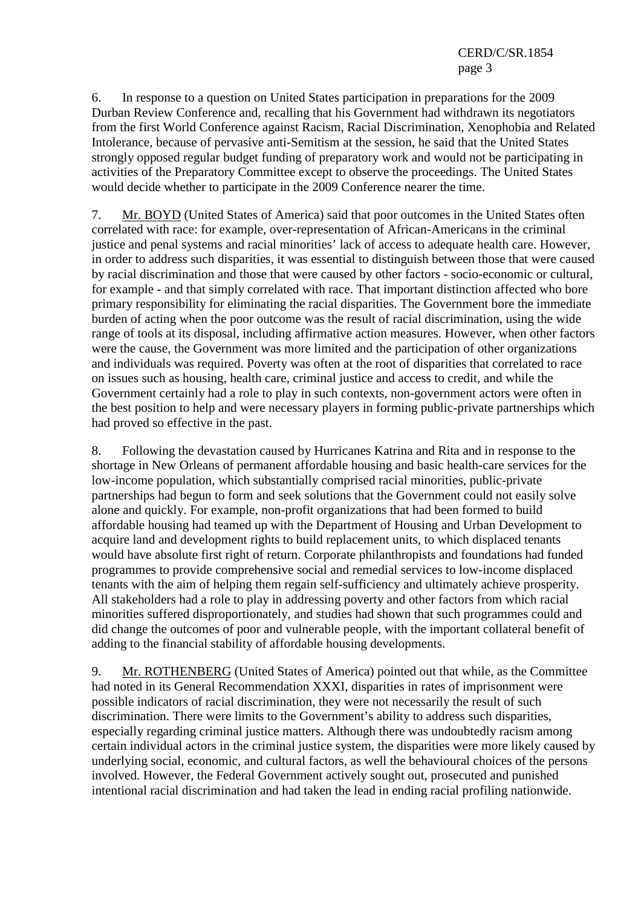6. In response to a question on United States participation in preparations for the 2009 Durban Review Conference and, recalling that his Government had withdrawn its negotiators from the first World Conference against Racism, Racial Discrimination, Xenophobia and Related Intolerance, because of pervasive anti-Semitism at the session, he said that the United States strongly opposed regular budget funding of preparatory work and would not be participating in activities of the Preparatory Committee except to observe the proceedings. The United States would decide whether to participate in the 2009 Conference nearer the time.

7. Mr. BOYD (United States of America) said that poor outcomes in the United States often correlated with race: for example, over-representation of African-Americans in the criminal justice and penal systems and racial minorities' lack of access to adequate health care. However, in order to address such disparities, it was essential to distinguish between those that were caused by racial discrimination and those that were caused by other factors - socio-economic or cultural, for example - and that simply correlated with race. That important distinction affected who bore primary responsibility for eliminating the racial disparities. The Government bore the immediate burden of acting when the poor outcome was the result of racial discrimination, using the wide range of tools at its disposal, including affirmative action measures. However, when other factors were the cause, the Government was more limited and the participation of other organizations and individuals was required. Poverty was often at the root of disparities that correlated to race on issues such as housing, health care, criminal justice and access to credit, and while the Government certainly had a role to play in such contexts, non-government actors were often in the best position to help and were necessary players in forming public-private partnerships which had proved so effective in the past.

8. Following the devastation caused by Hurricanes Katrina and Rita and in response to the shortage in New Orleans of permanent affordable housing and basic health-care services for the low-income population, which substantially comprised racial minorities, public-private partnerships had begun to form and seek solutions that the Government could not easily solve alone and quickly. For example, non-profit organizations that had been formed to build affordable housing had teamed up with the Department of Housing and Urban Development to acquire land and development rights to build replacement units, to which displaced tenants would have absolute first right of return. Corporate philanthropists and foundations had funded programmes to provide comprehensive social and remedial services to low-income displaced tenants with the aim of helping them regain self-sufficiency and ultimately achieve prosperity. All stakeholders had a role to play in addressing poverty and other factors from which racial minorities suffered disproportionately, and studies had shown that such programmes could and did change the outcomes of poor and vulnerable people, with the important collateral benefit of adding to the financial stability of affordable housing developments.

9. Mr. ROTHENBERG (United States of America) pointed out that while, as the Committee had noted in its General Recommendation XXXI, disparities in rates of imprisonment were possible indicators of racial discrimination, they were not necessarily the result of such discrimination. There were limits to the Government's ability to address such disparities, especially regarding criminal justice matters. Although there was undoubtedly racism among certain individual actors in the criminal justice system, the disparities were more likely caused by underlying social, economic, and cultural factors, as well the behavioural choices of the persons involved. However, the Federal Government actively sought out, prosecuted and punished intentional racial discrimination and had taken the lead in ending racial profiling nationwide.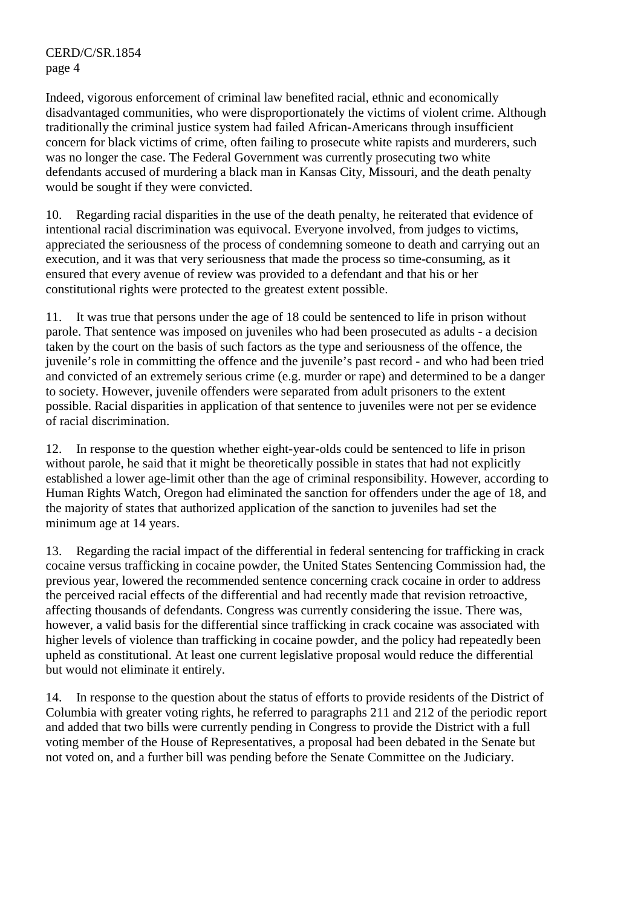Indeed, vigorous enforcement of criminal law benefited racial, ethnic and economically disadvantaged communities, who were disproportionately the victims of violent crime. Although traditionally the criminal justice system had failed African-Americans through insufficient concern for black victims of crime, often failing to prosecute white rapists and murderers, such was no longer the case. The Federal Government was currently prosecuting two white defendants accused of murdering a black man in Kansas City, Missouri, and the death penalty would be sought if they were convicted.

10. Regarding racial disparities in the use of the death penalty, he reiterated that evidence of intentional racial discrimination was equivocal. Everyone involved, from judges to victims, appreciated the seriousness of the process of condemning someone to death and carrying out an execution, and it was that very seriousness that made the process so time-consuming, as it ensured that every avenue of review was provided to a defendant and that his or her constitutional rights were protected to the greatest extent possible.

11. It was true that persons under the age of 18 could be sentenced to life in prison without parole. That sentence was imposed on juveniles who had been prosecuted as adults - a decision taken by the court on the basis of such factors as the type and seriousness of the offence, the juvenile's role in committing the offence and the juvenile's past record - and who had been tried and convicted of an extremely serious crime (e.g. murder or rape) and determined to be a danger to society. However, juvenile offenders were separated from adult prisoners to the extent possible. Racial disparities in application of that sentence to juveniles were not per se evidence of racial discrimination.

12. In response to the question whether eight-year-olds could be sentenced to life in prison without parole, he said that it might be theoretically possible in states that had not explicitly established a lower age-limit other than the age of criminal responsibility. However, according to Human Rights Watch, Oregon had eliminated the sanction for offenders under the age of 18, and the majority of states that authorized application of the sanction to juveniles had set the minimum age at 14 years.

13. Regarding the racial impact of the differential in federal sentencing for trafficking in crack cocaine versus trafficking in cocaine powder, the United States Sentencing Commission had, the previous year, lowered the recommended sentence concerning crack cocaine in order to address the perceived racial effects of the differential and had recently made that revision retroactive, affecting thousands of defendants. Congress was currently considering the issue. There was, however, a valid basis for the differential since trafficking in crack cocaine was associated with higher levels of violence than trafficking in cocaine powder, and the policy had repeatedly been upheld as constitutional. At least one current legislative proposal would reduce the differential but would not eliminate it entirely.

14. In response to the question about the status of efforts to provide residents of the District of Columbia with greater voting rights, he referred to paragraphs 211 and 212 of the periodic report and added that two bills were currently pending in Congress to provide the District with a full voting member of the House of Representatives, a proposal had been debated in the Senate but not voted on, and a further bill was pending before the Senate Committee on the Judiciary.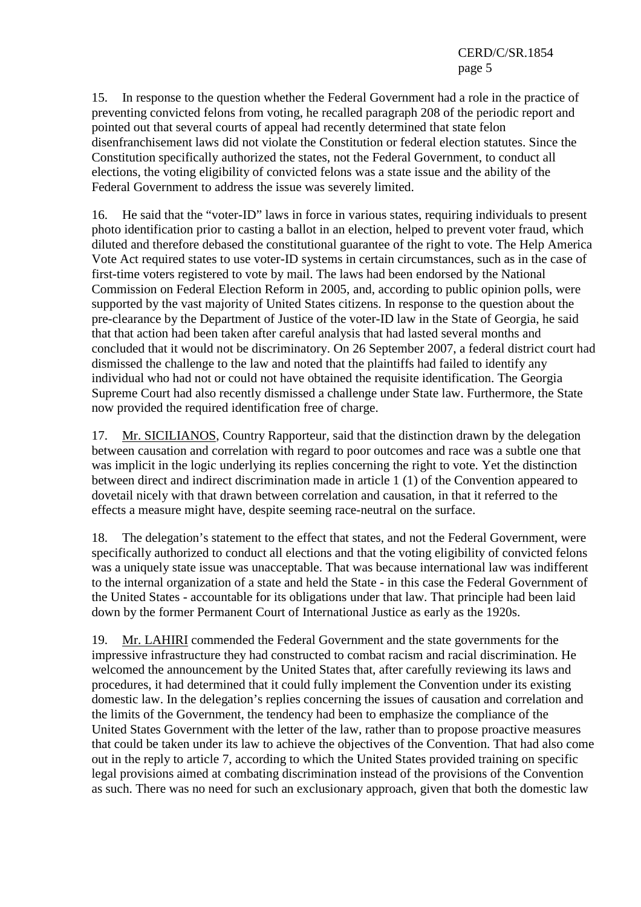15. In response to the question whether the Federal Government had a role in the practice of preventing convicted felons from voting, he recalled paragraph 208 of the periodic report and pointed out that several courts of appeal had recently determined that state felon disenfranchisement laws did not violate the Constitution or federal election statutes. Since the Constitution specifically authorized the states, not the Federal Government, to conduct all elections, the voting eligibility of convicted felons was a state issue and the ability of the Federal Government to address the issue was severely limited.

16. He said that the "voter-ID" laws in force in various states, requiring individuals to present photo identification prior to casting a ballot in an election, helped to prevent voter fraud, which diluted and therefore debased the constitutional guarantee of the right to vote. The Help America Vote Act required states to use voter-ID systems in certain circumstances, such as in the case of first-time voters registered to vote by mail. The laws had been endorsed by the National Commission on Federal Election Reform in 2005, and, according to public opinion polls, were supported by the vast majority of United States citizens. In response to the question about the pre-clearance by the Department of Justice of the voter-ID law in the State of Georgia, he said that that action had been taken after careful analysis that had lasted several months and concluded that it would not be discriminatory. On 26 September 2007, a federal district court had dismissed the challenge to the law and noted that the plaintiffs had failed to identify any individual who had not or could not have obtained the requisite identification. The Georgia Supreme Court had also recently dismissed a challenge under State law. Furthermore, the State now provided the required identification free of charge.

17. Mr. SICILIANOS, Country Rapporteur, said that the distinction drawn by the delegation between causation and correlation with regard to poor outcomes and race was a subtle one that was implicit in the logic underlying its replies concerning the right to vote. Yet the distinction between direct and indirect discrimination made in article 1 (1) of the Convention appeared to dovetail nicely with that drawn between correlation and causation, in that it referred to the effects a measure might have, despite seeming race-neutral on the surface.

18. The delegation's statement to the effect that states, and not the Federal Government, were specifically authorized to conduct all elections and that the voting eligibility of convicted felons was a uniquely state issue was unacceptable. That was because international law was indifferent to the internal organization of a state and held the State - in this case the Federal Government of the United States - accountable for its obligations under that law. That principle had been laid down by the former Permanent Court of International Justice as early as the 1920s.

19. Mr. LAHIRI commended the Federal Government and the state governments for the impressive infrastructure they had constructed to combat racism and racial discrimination. He welcomed the announcement by the United States that, after carefully reviewing its laws and procedures, it had determined that it could fully implement the Convention under its existing domestic law. In the delegation's replies concerning the issues of causation and correlation and the limits of the Government, the tendency had been to emphasize the compliance of the United States Government with the letter of the law, rather than to propose proactive measures that could be taken under its law to achieve the objectives of the Convention. That had also come out in the reply to article 7, according to which the United States provided training on specific legal provisions aimed at combating discrimination instead of the provisions of the Convention as such. There was no need for such an exclusionary approach, given that both the domestic law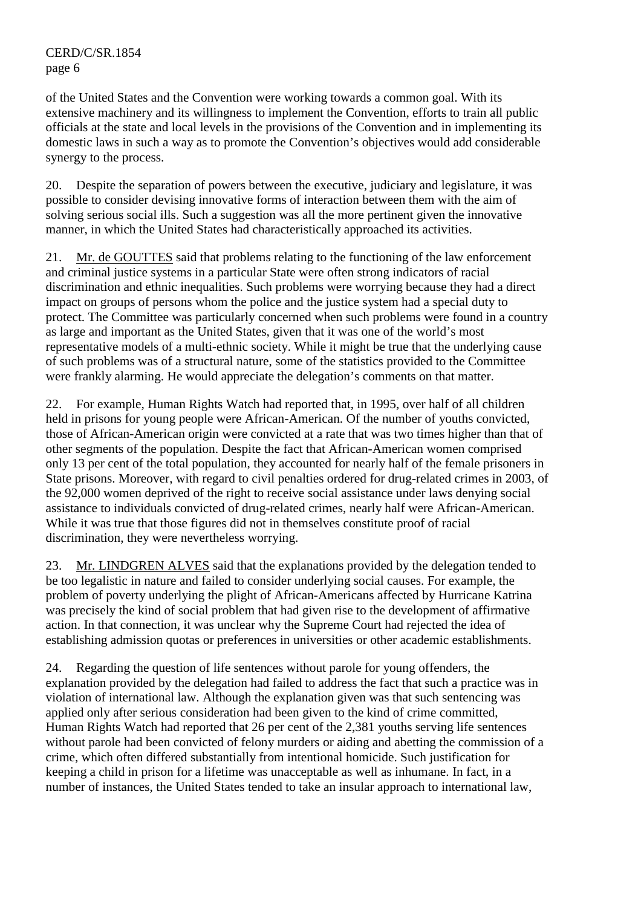of the United States and the Convention were working towards a common goal. With its extensive machinery and its willingness to implement the Convention, efforts to train all public officials at the state and local levels in the provisions of the Convention and in implementing its domestic laws in such a way as to promote the Convention's objectives would add considerable synergy to the process.

20. Despite the separation of powers between the executive, judiciary and legislature, it was possible to consider devising innovative forms of interaction between them with the aim of solving serious social ills. Such a suggestion was all the more pertinent given the innovative manner, in which the United States had characteristically approached its activities.

21. Mr. de GOUTTES said that problems relating to the functioning of the law enforcement and criminal justice systems in a particular State were often strong indicators of racial discrimination and ethnic inequalities. Such problems were worrying because they had a direct impact on groups of persons whom the police and the justice system had a special duty to protect. The Committee was particularly concerned when such problems were found in a country as large and important as the United States, given that it was one of the world's most representative models of a multi-ethnic society. While it might be true that the underlying cause of such problems was of a structural nature, some of the statistics provided to the Committee were frankly alarming. He would appreciate the delegation's comments on that matter.

22. For example, Human Rights Watch had reported that, in 1995, over half of all children held in prisons for young people were African-American. Of the number of youths convicted, those of African-American origin were convicted at a rate that was two times higher than that of other segments of the population. Despite the fact that African-American women comprised only 13 per cent of the total population, they accounted for nearly half of the female prisoners in State prisons. Moreover, with regard to civil penalties ordered for drug-related crimes in 2003, of the 92,000 women deprived of the right to receive social assistance under laws denying social assistance to individuals convicted of drug-related crimes, nearly half were African-American. While it was true that those figures did not in themselves constitute proof of racial discrimination, they were nevertheless worrying.

23. Mr. LINDGREN ALVES said that the explanations provided by the delegation tended to be too legalistic in nature and failed to consider underlying social causes. For example, the problem of poverty underlying the plight of African-Americans affected by Hurricane Katrina was precisely the kind of social problem that had given rise to the development of affirmative action. In that connection, it was unclear why the Supreme Court had rejected the idea of establishing admission quotas or preferences in universities or other academic establishments.

24. Regarding the question of life sentences without parole for young offenders, the explanation provided by the delegation had failed to address the fact that such a practice was in violation of international law. Although the explanation given was that such sentencing was applied only after serious consideration had been given to the kind of crime committed, Human Rights Watch had reported that 26 per cent of the 2,381 youths serving life sentences without parole had been convicted of felony murders or aiding and abetting the commission of a crime, which often differed substantially from intentional homicide. Such justification for keeping a child in prison for a lifetime was unacceptable as well as inhumane. In fact, in a number of instances, the United States tended to take an insular approach to international law,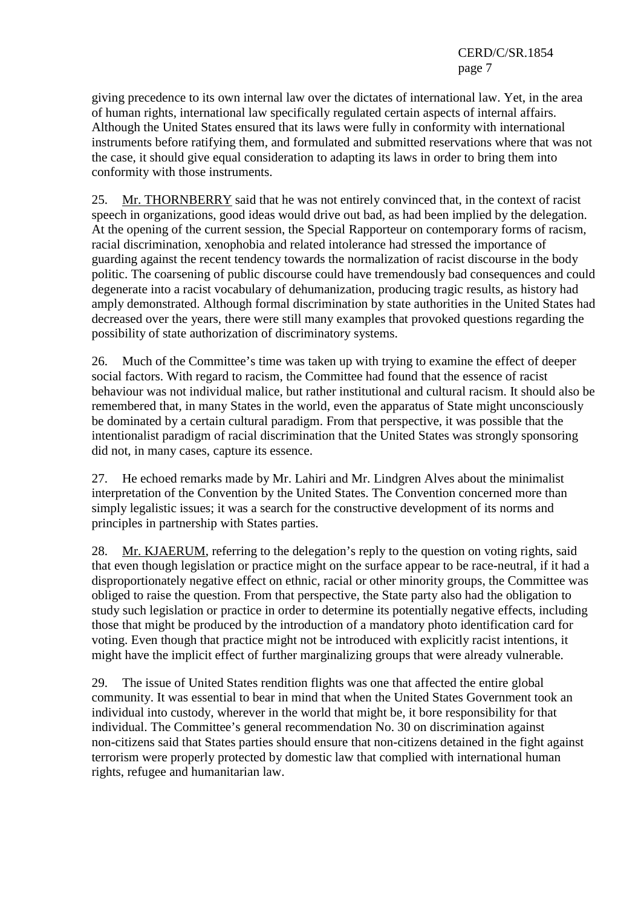giving precedence to its own internal law over the dictates of international law. Yet, in the area of human rights, international law specifically regulated certain aspects of internal affairs. Although the United States ensured that its laws were fully in conformity with international instruments before ratifying them, and formulated and submitted reservations where that was not the case, it should give equal consideration to adapting its laws in order to bring them into conformity with those instruments.

25. Mr. THORNBERRY said that he was not entirely convinced that, in the context of racist speech in organizations, good ideas would drive out bad, as had been implied by the delegation. At the opening of the current session, the Special Rapporteur on contemporary forms of racism, racial discrimination, xenophobia and related intolerance had stressed the importance of guarding against the recent tendency towards the normalization of racist discourse in the body politic. The coarsening of public discourse could have tremendously bad consequences and could degenerate into a racist vocabulary of dehumanization, producing tragic results, as history had amply demonstrated. Although formal discrimination by state authorities in the United States had decreased over the years, there were still many examples that provoked questions regarding the possibility of state authorization of discriminatory systems.

26. Much of the Committee's time was taken up with trying to examine the effect of deeper social factors. With regard to racism, the Committee had found that the essence of racist behaviour was not individual malice, but rather institutional and cultural racism. It should also be remembered that, in many States in the world, even the apparatus of State might unconsciously be dominated by a certain cultural paradigm. From that perspective, it was possible that the intentionalist paradigm of racial discrimination that the United States was strongly sponsoring did not, in many cases, capture its essence.

27. He echoed remarks made by Mr. Lahiri and Mr. Lindgren Alves about the minimalist interpretation of the Convention by the United States. The Convention concerned more than simply legalistic issues; it was a search for the constructive development of its norms and principles in partnership with States parties.

28. Mr. KJAERUM, referring to the delegation's reply to the question on voting rights, said that even though legislation or practice might on the surface appear to be race-neutral, if it had a disproportionately negative effect on ethnic, racial or other minority groups, the Committee was obliged to raise the question. From that perspective, the State party also had the obligation to study such legislation or practice in order to determine its potentially negative effects, including those that might be produced by the introduction of a mandatory photo identification card for voting. Even though that practice might not be introduced with explicitly racist intentions, it might have the implicit effect of further marginalizing groups that were already vulnerable.

29. The issue of United States rendition flights was one that affected the entire global community. It was essential to bear in mind that when the United States Government took an individual into custody, wherever in the world that might be, it bore responsibility for that individual. The Committee's general recommendation No. 30 on discrimination against non-citizens said that States parties should ensure that non-citizens detained in the fight against terrorism were properly protected by domestic law that complied with international human rights, refugee and humanitarian law.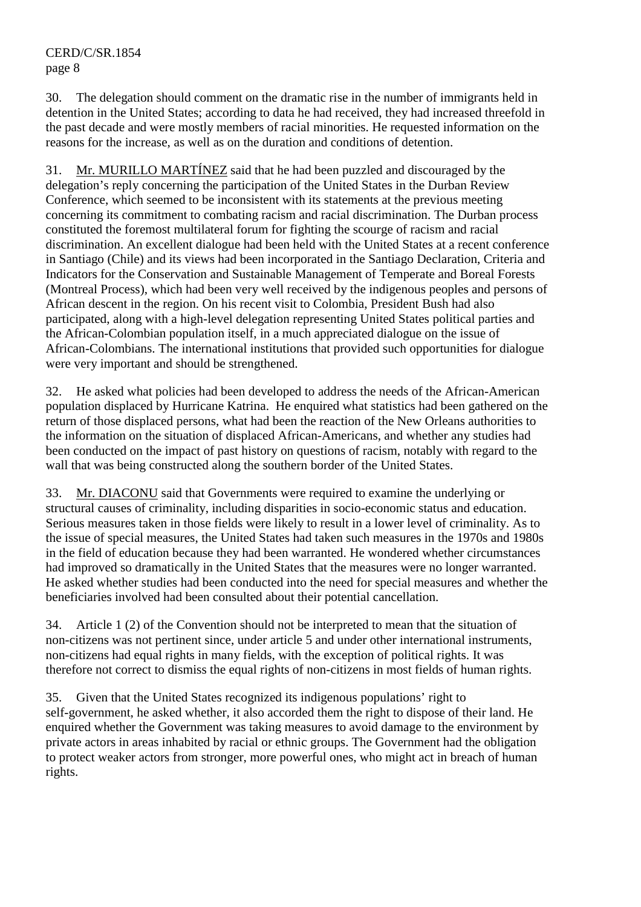30. The delegation should comment on the dramatic rise in the number of immigrants held in detention in the United States; according to data he had received, they had increased threefold in the past decade and were mostly members of racial minorities. He requested information on the reasons for the increase, as well as on the duration and conditions of detention.

31. Mr. MURILLO MARTÍNEZ said that he had been puzzled and discouraged by the delegation's reply concerning the participation of the United States in the Durban Review Conference, which seemed to be inconsistent with its statements at the previous meeting concerning its commitment to combating racism and racial discrimination. The Durban process constituted the foremost multilateral forum for fighting the scourge of racism and racial discrimination. An excellent dialogue had been held with the United States at a recent conference in Santiago (Chile) and its views had been incorporated in the Santiago Declaration, Criteria and Indicators for the Conservation and Sustainable Management of Temperate and Boreal Forests (Montreal Process), which had been very well received by the indigenous peoples and persons of African descent in the region. On his recent visit to Colombia, President Bush had also participated, along with a high-level delegation representing United States political parties and the African-Colombian population itself, in a much appreciated dialogue on the issue of African-Colombians. The international institutions that provided such opportunities for dialogue were very important and should be strengthened.

32. He asked what policies had been developed to address the needs of the African-American population displaced by Hurricane Katrina. He enquired what statistics had been gathered on the return of those displaced persons, what had been the reaction of the New Orleans authorities to the information on the situation of displaced African-Americans, and whether any studies had been conducted on the impact of past history on questions of racism, notably with regard to the wall that was being constructed along the southern border of the United States.

33. Mr. DIACONU said that Governments were required to examine the underlying or structural causes of criminality, including disparities in socio-economic status and education. Serious measures taken in those fields were likely to result in a lower level of criminality. As to the issue of special measures, the United States had taken such measures in the 1970s and 1980s in the field of education because they had been warranted. He wondered whether circumstances had improved so dramatically in the United States that the measures were no longer warranted. He asked whether studies had been conducted into the need for special measures and whether the beneficiaries involved had been consulted about their potential cancellation.

34. Article 1 (2) of the Convention should not be interpreted to mean that the situation of non-citizens was not pertinent since, under article 5 and under other international instruments, non-citizens had equal rights in many fields, with the exception of political rights. It was therefore not correct to dismiss the equal rights of non-citizens in most fields of human rights.

35. Given that the United States recognized its indigenous populations' right to self-government, he asked whether, it also accorded them the right to dispose of their land. He enquired whether the Government was taking measures to avoid damage to the environment by private actors in areas inhabited by racial or ethnic groups. The Government had the obligation to protect weaker actors from stronger, more powerful ones, who might act in breach of human rights.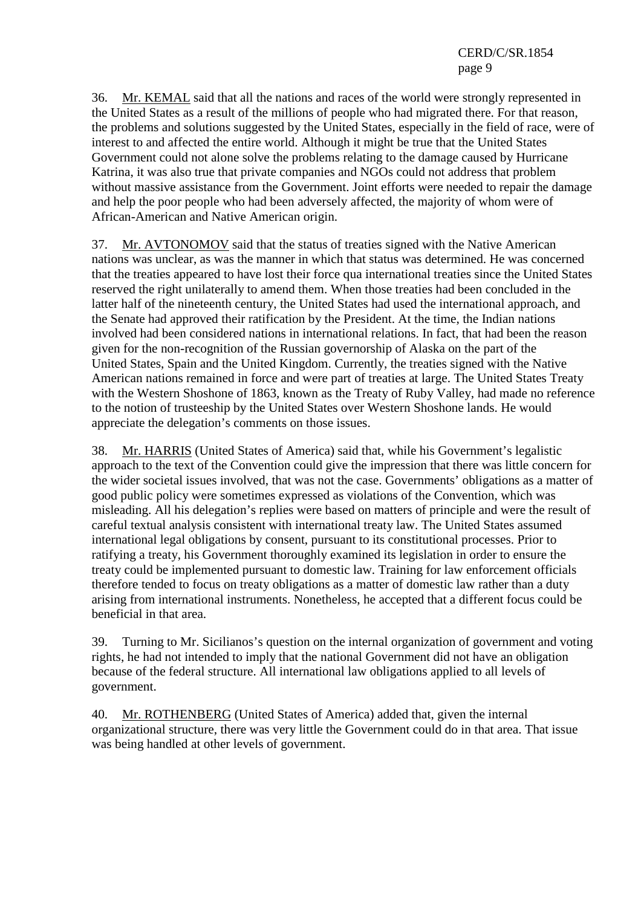36. Mr. KEMAL said that all the nations and races of the world were strongly represented in the United States as a result of the millions of people who had migrated there. For that reason, the problems and solutions suggested by the United States, especially in the field of race, were of interest to and affected the entire world. Although it might be true that the United States Government could not alone solve the problems relating to the damage caused by Hurricane Katrina, it was also true that private companies and NGOs could not address that problem without massive assistance from the Government. Joint efforts were needed to repair the damage and help the poor people who had been adversely affected, the majority of whom were of African-American and Native American origin.

37. Mr. AVTONOMOV said that the status of treaties signed with the Native American nations was unclear, as was the manner in which that status was determined. He was concerned that the treaties appeared to have lost their force qua international treaties since the United States reserved the right unilaterally to amend them. When those treaties had been concluded in the latter half of the nineteenth century, the United States had used the international approach, and the Senate had approved their ratification by the President. At the time, the Indian nations involved had been considered nations in international relations. In fact, that had been the reason given for the non-recognition of the Russian governorship of Alaska on the part of the United States, Spain and the United Kingdom. Currently, the treaties signed with the Native American nations remained in force and were part of treaties at large. The United States Treaty with the Western Shoshone of 1863, known as the Treaty of Ruby Valley, had made no reference to the notion of trusteeship by the United States over Western Shoshone lands. He would appreciate the delegation's comments on those issues.

38. Mr. HARRIS (United States of America) said that, while his Government's legalistic approach to the text of the Convention could give the impression that there was little concern for the wider societal issues involved, that was not the case. Governments' obligations as a matter of good public policy were sometimes expressed as violations of the Convention, which was misleading. All his delegation's replies were based on matters of principle and were the result of careful textual analysis consistent with international treaty law. The United States assumed international legal obligations by consent, pursuant to its constitutional processes. Prior to ratifying a treaty, his Government thoroughly examined its legislation in order to ensure the treaty could be implemented pursuant to domestic law. Training for law enforcement officials therefore tended to focus on treaty obligations as a matter of domestic law rather than a duty arising from international instruments. Nonetheless, he accepted that a different focus could be beneficial in that area.

39. Turning to Mr. Sicilianos's question on the internal organization of government and voting rights, he had not intended to imply that the national Government did not have an obligation because of the federal structure. All international law obligations applied to all levels of government.

40. Mr. ROTHENBERG (United States of America) added that, given the internal organizational structure, there was very little the Government could do in that area. That issue was being handled at other levels of government.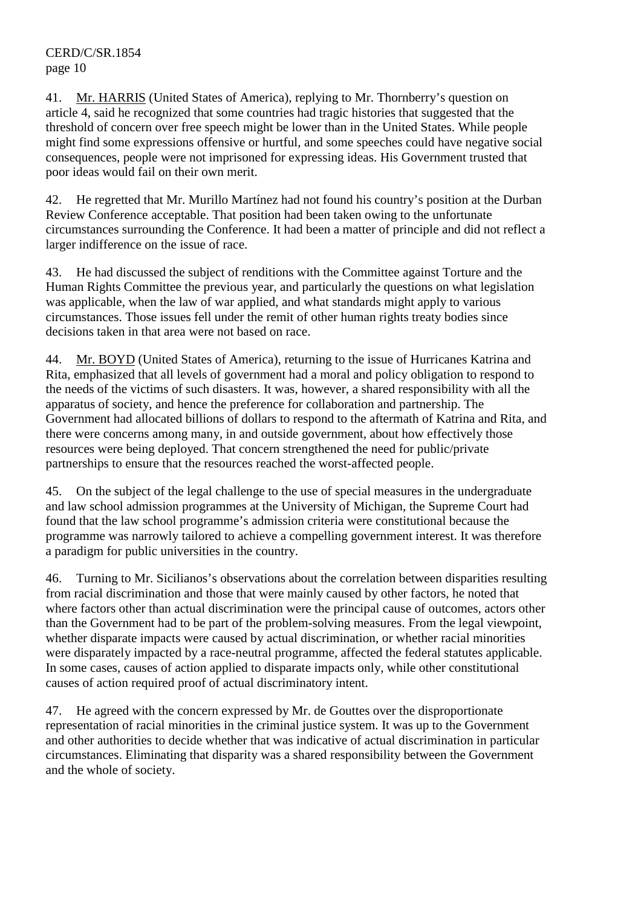41. Mr. HARRIS (United States of America), replying to Mr. Thornberry's question on article 4, said he recognized that some countries had tragic histories that suggested that the threshold of concern over free speech might be lower than in the United States. While people might find some expressions offensive or hurtful, and some speeches could have negative social consequences, people were not imprisoned for expressing ideas. His Government trusted that poor ideas would fail on their own merit.

42. He regretted that Mr. Murillo Martínez had not found his country's position at the Durban Review Conference acceptable. That position had been taken owing to the unfortunate circumstances surrounding the Conference. It had been a matter of principle and did not reflect a larger indifference on the issue of race.

43. He had discussed the subject of renditions with the Committee against Torture and the Human Rights Committee the previous year, and particularly the questions on what legislation was applicable, when the law of war applied, and what standards might apply to various circumstances. Those issues fell under the remit of other human rights treaty bodies since decisions taken in that area were not based on race.

44. Mr. BOYD (United States of America), returning to the issue of Hurricanes Katrina and Rita, emphasized that all levels of government had a moral and policy obligation to respond to the needs of the victims of such disasters. It was, however, a shared responsibility with all the apparatus of society, and hence the preference for collaboration and partnership. The Government had allocated billions of dollars to respond to the aftermath of Katrina and Rita, and there were concerns among many, in and outside government, about how effectively those resources were being deployed. That concern strengthened the need for public/private partnerships to ensure that the resources reached the worst-affected people.

45. On the subject of the legal challenge to the use of special measures in the undergraduate and law school admission programmes at the University of Michigan, the Supreme Court had found that the law school programme's admission criteria were constitutional because the programme was narrowly tailored to achieve a compelling government interest. It was therefore a paradigm for public universities in the country.

46. Turning to Mr. Sicilianos's observations about the correlation between disparities resulting from racial discrimination and those that were mainly caused by other factors, he noted that where factors other than actual discrimination were the principal cause of outcomes, actors other than the Government had to be part of the problem-solving measures. From the legal viewpoint, whether disparate impacts were caused by actual discrimination, or whether racial minorities were disparately impacted by a race-neutral programme, affected the federal statutes applicable. In some cases, causes of action applied to disparate impacts only, while other constitutional causes of action required proof of actual discriminatory intent.

47. He agreed with the concern expressed by Mr. de Gouttes over the disproportionate representation of racial minorities in the criminal justice system. It was up to the Government and other authorities to decide whether that was indicative of actual discrimination in particular circumstances. Eliminating that disparity was a shared responsibility between the Government and the whole of society.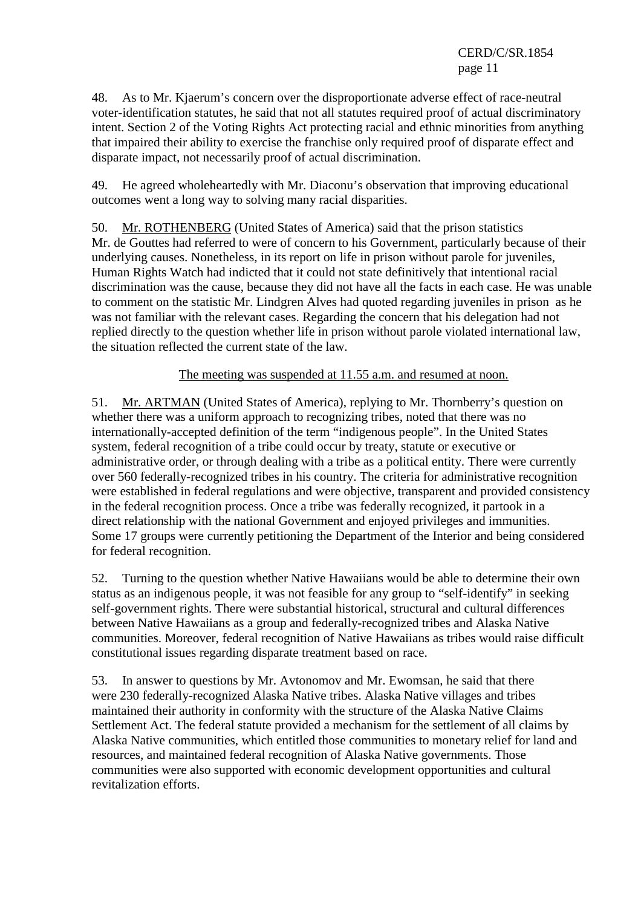48. As to Mr. Kjaerum's concern over the disproportionate adverse effect of race-neutral voter-identification statutes, he said that not all statutes required proof of actual discriminatory intent. Section 2 of the Voting Rights Act protecting racial and ethnic minorities from anything that impaired their ability to exercise the franchise only required proof of disparate effect and disparate impact, not necessarily proof of actual discrimination.

49. He agreed wholeheartedly with Mr. Diaconu's observation that improving educational outcomes went a long way to solving many racial disparities.

50. Mr. ROTHENBERG (United States of America) said that the prison statistics Mr. de Gouttes had referred to were of concern to his Government, particularly because of their underlying causes. Nonetheless, in its report on life in prison without parole for juveniles, Human Rights Watch had indicted that it could not state definitively that intentional racial discrimination was the cause, because they did not have all the facts in each case. He was unable to comment on the statistic Mr. Lindgren Alves had quoted regarding juveniles in prison as he was not familiar with the relevant cases. Regarding the concern that his delegation had not replied directly to the question whether life in prison without parole violated international law, the situation reflected the current state of the law.

The meeting was suspended at 11.55 a.m. and resumed at noon.

51. Mr. ARTMAN (United States of America), replying to Mr. Thornberry's question on whether there was a uniform approach to recognizing tribes, noted that there was no internationally-accepted definition of the term "indigenous people". In the United States system, federal recognition of a tribe could occur by treaty, statute or executive or administrative order, or through dealing with a tribe as a political entity. There were currently over 560 federally-recognized tribes in his country. The criteria for administrative recognition were established in federal regulations and were objective, transparent and provided consistency in the federal recognition process. Once a tribe was federally recognized, it partook in a direct relationship with the national Government and enjoyed privileges and immunities. Some 17 groups were currently petitioning the Department of the Interior and being considered for federal recognition.

52. Turning to the question whether Native Hawaiians would be able to determine their own status as an indigenous people, it was not feasible for any group to "self-identify" in seeking self-government rights. There were substantial historical, structural and cultural differences between Native Hawaiians as a group and federally-recognized tribes and Alaska Native communities. Moreover, federal recognition of Native Hawaiians as tribes would raise difficult constitutional issues regarding disparate treatment based on race.

53. In answer to questions by Mr. Avtonomov and Mr. Ewomsan, he said that there were 230 federally-recognized Alaska Native tribes. Alaska Native villages and tribes maintained their authority in conformity with the structure of the Alaska Native Claims Settlement Act. The federal statute provided a mechanism for the settlement of all claims by Alaska Native communities, which entitled those communities to monetary relief for land and resources, and maintained federal recognition of Alaska Native governments. Those communities were also supported with economic development opportunities and cultural revitalization efforts.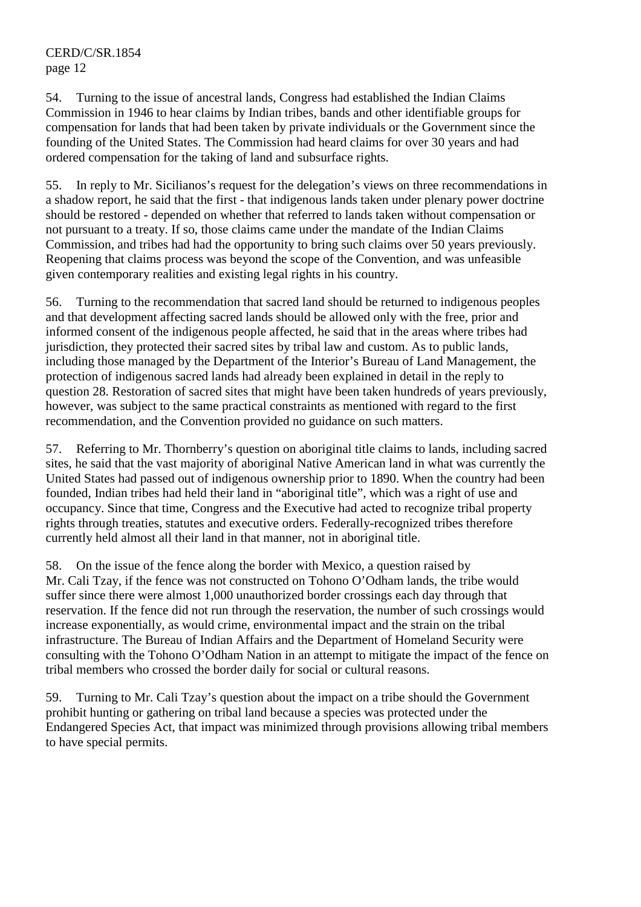54. Turning to the issue of ancestral lands, Congress had established the Indian Claims Commission in 1946 to hear claims by Indian tribes, bands and other identifiable groups for compensation for lands that had been taken by private individuals or the Government since the founding of the United States. The Commission had heard claims for over 30 years and had ordered compensation for the taking of land and subsurface rights.

55. In reply to Mr. Sicilianos's request for the delegation's views on three recommendations in a shadow report, he said that the first - that indigenous lands taken under plenary power doctrine should be restored - depended on whether that referred to lands taken without compensation or not pursuant to a treaty. If so, those claims came under the mandate of the Indian Claims Commission, and tribes had had the opportunity to bring such claims over 50 years previously. Reopening that claims process was beyond the scope of the Convention, and was unfeasible given contemporary realities and existing legal rights in his country.

56. Turning to the recommendation that sacred land should be returned to indigenous peoples and that development affecting sacred lands should be allowed only with the free, prior and informed consent of the indigenous people affected, he said that in the areas where tribes had jurisdiction, they protected their sacred sites by tribal law and custom. As to public lands, including those managed by the Department of the Interior's Bureau of Land Management, the protection of indigenous sacred lands had already been explained in detail in the reply to question 28. Restoration of sacred sites that might have been taken hundreds of years previously, however, was subject to the same practical constraints as mentioned with regard to the first recommendation, and the Convention provided no guidance on such matters.

57. Referring to Mr. Thornberry's question on aboriginal title claims to lands, including sacred sites, he said that the vast majority of aboriginal Native American land in what was currently the United States had passed out of indigenous ownership prior to 1890. When the country had been founded, Indian tribes had held their land in "aboriginal title", which was a right of use and occupancy. Since that time, Congress and the Executive had acted to recognize tribal property rights through treaties, statutes and executive orders. Federally-recognized tribes therefore currently held almost all their land in that manner, not in aboriginal title.

58. On the issue of the fence along the border with Mexico, a question raised by Mr. Cali Tzay, if the fence was not constructed on Tohono O'Odham lands, the tribe would suffer since there were almost 1,000 unauthorized border crossings each day through that reservation. If the fence did not run through the reservation, the number of such crossings would increase exponentially, as would crime, environmental impact and the strain on the tribal infrastructure. The Bureau of Indian Affairs and the Department of Homeland Security were consulting with the Tohono O'Odham Nation in an attempt to mitigate the impact of the fence on tribal members who crossed the border daily for social or cultural reasons.

59. Turning to Mr. Cali Tzay's question about the impact on a tribe should the Government prohibit hunting or gathering on tribal land because a species was protected under the Endangered Species Act, that impact was minimized through provisions allowing tribal members to have special permits.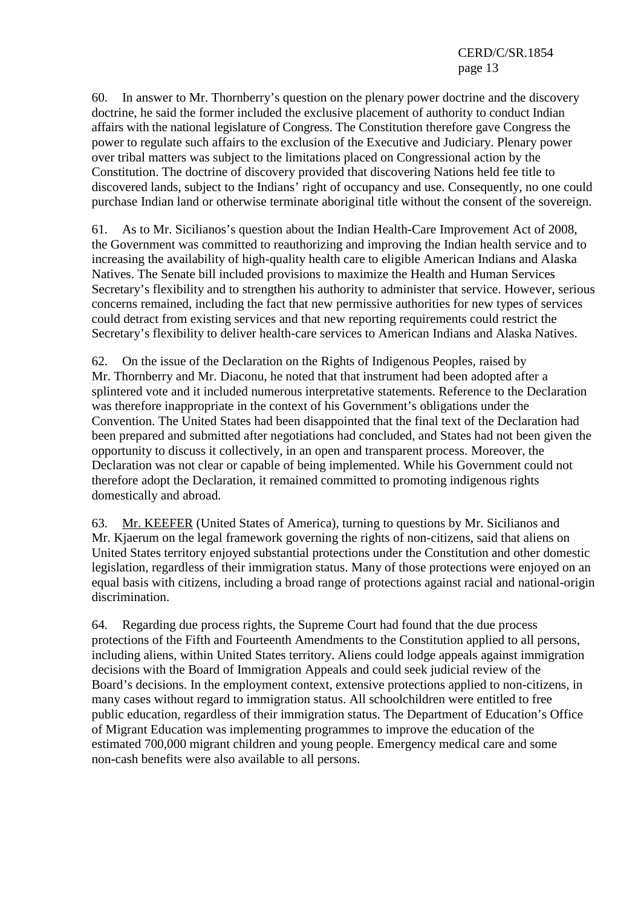60. In answer to Mr. Thornberry's question on the plenary power doctrine and the discovery doctrine, he said the former included the exclusive placement of authority to conduct Indian affairs with the national legislature of Congress. The Constitution therefore gave Congress the power to regulate such affairs to the exclusion of the Executive and Judiciary. Plenary power over tribal matters was subject to the limitations placed on Congressional action by the Constitution. The doctrine of discovery provided that discovering Nations held fee title to discovered lands, subject to the Indians' right of occupancy and use. Consequently, no one could purchase Indian land or otherwise terminate aboriginal title without the consent of the sovereign.

61. As to Mr. Sicilianos's question about the Indian Health-Care Improvement Act of 2008, the Government was committed to reauthorizing and improving the Indian health service and to increasing the availability of high-quality health care to eligible American Indians and Alaska Natives. The Senate bill included provisions to maximize the Health and Human Services Secretary's flexibility and to strengthen his authority to administer that service. However, serious concerns remained, including the fact that new permissive authorities for new types of services could detract from existing services and that new reporting requirements could restrict the Secretary's flexibility to deliver health-care services to American Indians and Alaska Natives.

62. On the issue of the Declaration on the Rights of Indigenous Peoples, raised by Mr. Thornberry and Mr. Diaconu, he noted that that instrument had been adopted after a splintered vote and it included numerous interpretative statements. Reference to the Declaration was therefore inappropriate in the context of his Government's obligations under the Convention. The United States had been disappointed that the final text of the Declaration had been prepared and submitted after negotiations had concluded, and States had not been given the opportunity to discuss it collectively, in an open and transparent process. Moreover, the Declaration was not clear or capable of being implemented. While his Government could not therefore adopt the Declaration, it remained committed to promoting indigenous rights domestically and abroad.

63. Mr. KEEFER (United States of America), turning to questions by Mr. Sicilianos and Mr. Kjaerum on the legal framework governing the rights of non-citizens, said that aliens on United States territory enjoyed substantial protections under the Constitution and other domestic legislation, regardless of their immigration status. Many of those protections were enjoyed on an equal basis with citizens, including a broad range of protections against racial and national-origin discrimination.

64. Regarding due process rights, the Supreme Court had found that the due process protections of the Fifth and Fourteenth Amendments to the Constitution applied to all persons, including aliens, within United States territory. Aliens could lodge appeals against immigration decisions with the Board of Immigration Appeals and could seek judicial review of the Board's decisions. In the employment context, extensive protections applied to non-citizens, in many cases without regard to immigration status. All schoolchildren were entitled to free public education, regardless of their immigration status. The Department of Education's Office of Migrant Education was implementing programmes to improve the education of the estimated 700,000 migrant children and young people. Emergency medical care and some non-cash benefits were also available to all persons.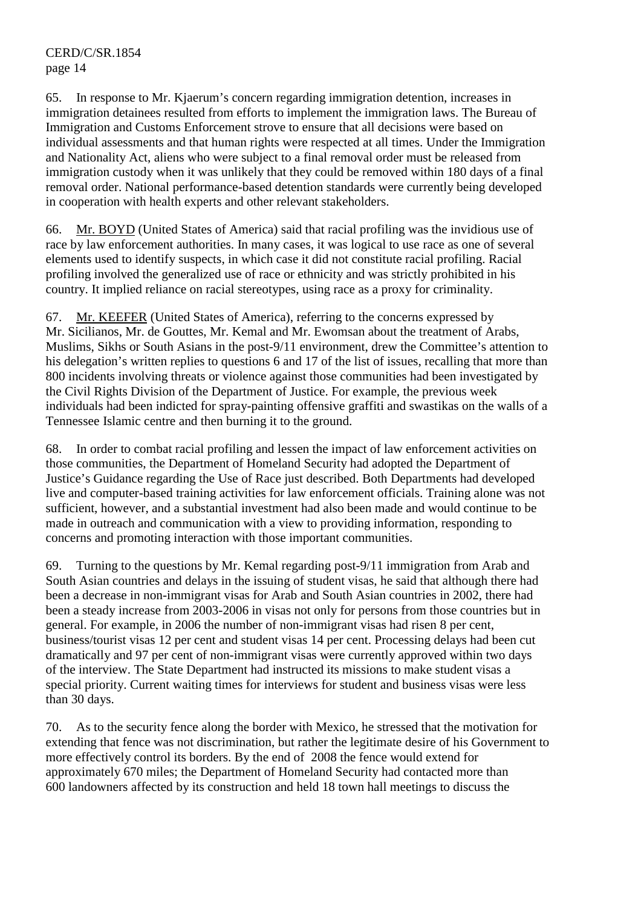65. In response to Mr. Kjaerum's concern regarding immigration detention, increases in immigration detainees resulted from efforts to implement the immigration laws. The Bureau of Immigration and Customs Enforcement strove to ensure that all decisions were based on individual assessments and that human rights were respected at all times. Under the Immigration and Nationality Act, aliens who were subject to a final removal order must be released from immigration custody when it was unlikely that they could be removed within 180 days of a final removal order. National performance-based detention standards were currently being developed in cooperation with health experts and other relevant stakeholders.

66. Mr. BOYD (United States of America) said that racial profiling was the invidious use of race by law enforcement authorities. In many cases, it was logical to use race as one of several elements used to identify suspects, in which case it did not constitute racial profiling. Racial profiling involved the generalized use of race or ethnicity and was strictly prohibited in his country. It implied reliance on racial stereotypes, using race as a proxy for criminality.

67. Mr. KEEFER (United States of America), referring to the concerns expressed by Mr. Sicilianos, Mr. de Gouttes, Mr. Kemal and Mr. Ewomsan about the treatment of Arabs, Muslims, Sikhs or South Asians in the post-9/11 environment, drew the Committee's attention to his delegation's written replies to questions 6 and 17 of the list of issues, recalling that more than 800 incidents involving threats or violence against those communities had been investigated by the Civil Rights Division of the Department of Justice. For example, the previous week individuals had been indicted for spray-painting offensive graffiti and swastikas on the walls of a Tennessee Islamic centre and then burning it to the ground.

68. In order to combat racial profiling and lessen the impact of law enforcement activities on those communities, the Department of Homeland Security had adopted the Department of Justice's Guidance regarding the Use of Race just described. Both Departments had developed live and computer-based training activities for law enforcement officials. Training alone was not sufficient, however, and a substantial investment had also been made and would continue to be made in outreach and communication with a view to providing information, responding to concerns and promoting interaction with those important communities.

69. Turning to the questions by Mr. Kemal regarding post-9/11 immigration from Arab and South Asian countries and delays in the issuing of student visas, he said that although there had been a decrease in non-immigrant visas for Arab and South Asian countries in 2002, there had been a steady increase from 2003-2006 in visas not only for persons from those countries but in general. For example, in 2006 the number of non-immigrant visas had risen 8 per cent, business/tourist visas 12 per cent and student visas 14 per cent. Processing delays had been cut dramatically and 97 per cent of non-immigrant visas were currently approved within two days of the interview. The State Department had instructed its missions to make student visas a special priority. Current waiting times for interviews for student and business visas were less than 30 days.

70. As to the security fence along the border with Mexico, he stressed that the motivation for extending that fence was not discrimination, but rather the legitimate desire of his Government to more effectively control its borders. By the end of 2008 the fence would extend for approximately 670 miles; the Department of Homeland Security had contacted more than 600 landowners affected by its construction and held 18 town hall meetings to discuss the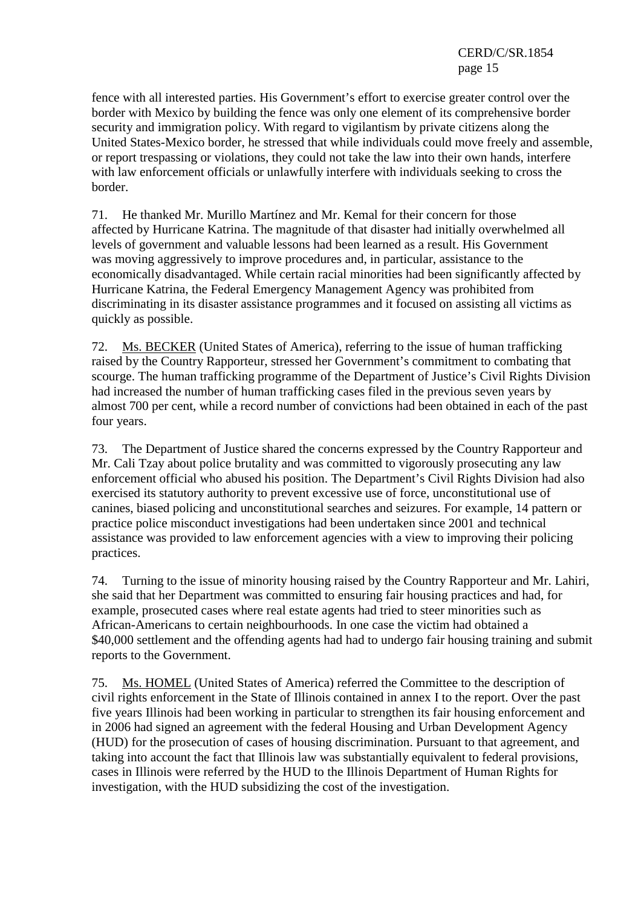fence with all interested parties. His Government's effort to exercise greater control over the border with Mexico by building the fence was only one element of its comprehensive border security and immigration policy. With regard to vigilantism by private citizens along the United States-Mexico border, he stressed that while individuals could move freely and assemble, or report trespassing or violations, they could not take the law into their own hands, interfere with law enforcement officials or unlawfully interfere with individuals seeking to cross the border.

71. He thanked Mr. Murillo Martínez and Mr. Kemal for their concern for those affected by Hurricane Katrina. The magnitude of that disaster had initially overwhelmed all levels of government and valuable lessons had been learned as a result. His Government was moving aggressively to improve procedures and, in particular, assistance to the economically disadvantaged. While certain racial minorities had been significantly affected by Hurricane Katrina, the Federal Emergency Management Agency was prohibited from discriminating in its disaster assistance programmes and it focused on assisting all victims as quickly as possible.

72. Ms. BECKER (United States of America), referring to the issue of human trafficking raised by the Country Rapporteur, stressed her Government's commitment to combating that scourge. The human trafficking programme of the Department of Justice's Civil Rights Division had increased the number of human trafficking cases filed in the previous seven years by almost 700 per cent, while a record number of convictions had been obtained in each of the past four years.

73. The Department of Justice shared the concerns expressed by the Country Rapporteur and Mr. Cali Tzay about police brutality and was committed to vigorously prosecuting any law enforcement official who abused his position. The Department's Civil Rights Division had also exercised its statutory authority to prevent excessive use of force, unconstitutional use of canines, biased policing and unconstitutional searches and seizures. For example, 14 pattern or practice police misconduct investigations had been undertaken since 2001 and technical assistance was provided to law enforcement agencies with a view to improving their policing practices.

74. Turning to the issue of minority housing raised by the Country Rapporteur and Mr. Lahiri, she said that her Department was committed to ensuring fair housing practices and had, for example, prosecuted cases where real estate agents had tried to steer minorities such as African-Americans to certain neighbourhoods. In one case the victim had obtained a \$40,000 settlement and the offending agents had had to undergo fair housing training and submit reports to the Government.

75. Ms. HOMEL (United States of America) referred the Committee to the description of civil rights enforcement in the State of Illinois contained in annex I to the report. Over the past five years Illinois had been working in particular to strengthen its fair housing enforcement and in 2006 had signed an agreement with the federal Housing and Urban Development Agency (HUD) for the prosecution of cases of housing discrimination. Pursuant to that agreement, and taking into account the fact that Illinois law was substantially equivalent to federal provisions, cases in Illinois were referred by the HUD to the Illinois Department of Human Rights for investigation, with the HUD subsidizing the cost of the investigation.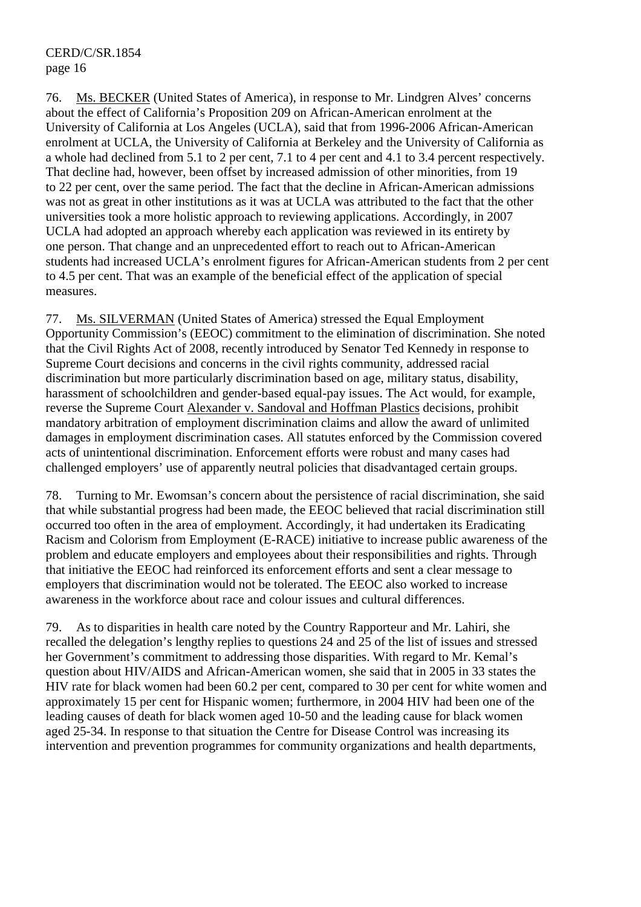76. Ms. BECKER (United States of America), in response to Mr. Lindgren Alves' concerns about the effect of California's Proposition 209 on African-American enrolment at the University of California at Los Angeles (UCLA), said that from 1996-2006 African-American enrolment at UCLA, the University of California at Berkeley and the University of California as a whole had declined from 5.1 to 2 per cent, 7.1 to 4 per cent and 4.1 to 3.4 percent respectively. That decline had, however, been offset by increased admission of other minorities, from 19 to 22 per cent, over the same period. The fact that the decline in African-American admissions was not as great in other institutions as it was at UCLA was attributed to the fact that the other universities took a more holistic approach to reviewing applications. Accordingly, in 2007 UCLA had adopted an approach whereby each application was reviewed in its entirety by one person. That change and an unprecedented effort to reach out to African-American students had increased UCLA's enrolment figures for African-American students from 2 per cent to 4.5 per cent. That was an example of the beneficial effect of the application of special measures.

77. Ms. SILVERMAN (United States of America) stressed the Equal Employment Opportunity Commission's (EEOC) commitment to the elimination of discrimination. She noted that the Civil Rights Act of 2008, recently introduced by Senator Ted Kennedy in response to Supreme Court decisions and concerns in the civil rights community, addressed racial discrimination but more particularly discrimination based on age, military status, disability, harassment of schoolchildren and gender-based equal-pay issues. The Act would, for example, reverse the Supreme Court Alexander v. Sandoval and Hoffman Plastics decisions, prohibit mandatory arbitration of employment discrimination claims and allow the award of unlimited damages in employment discrimination cases. All statutes enforced by the Commission covered acts of unintentional discrimination. Enforcement efforts were robust and many cases had challenged employers' use of apparently neutral policies that disadvantaged certain groups.

78. Turning to Mr. Ewomsan's concern about the persistence of racial discrimination, she said that while substantial progress had been made, the EEOC believed that racial discrimination still occurred too often in the area of employment. Accordingly, it had undertaken its Eradicating Racism and Colorism from Employment (E-RACE) initiative to increase public awareness of the problem and educate employers and employees about their responsibilities and rights. Through that initiative the EEOC had reinforced its enforcement efforts and sent a clear message to employers that discrimination would not be tolerated. The EEOC also worked to increase awareness in the workforce about race and colour issues and cultural differences.

79. As to disparities in health care noted by the Country Rapporteur and Mr. Lahiri, she recalled the delegation's lengthy replies to questions 24 and 25 of the list of issues and stressed her Government's commitment to addressing those disparities. With regard to Mr. Kemal's question about HIV/AIDS and African-American women, she said that in 2005 in 33 states the HIV rate for black women had been 60.2 per cent, compared to 30 per cent for white women and approximately 15 per cent for Hispanic women; furthermore, in 2004 HIV had been one of the leading causes of death for black women aged 10-50 and the leading cause for black women aged 25-34. In response to that situation the Centre for Disease Control was increasing its intervention and prevention programmes for community organizations and health departments,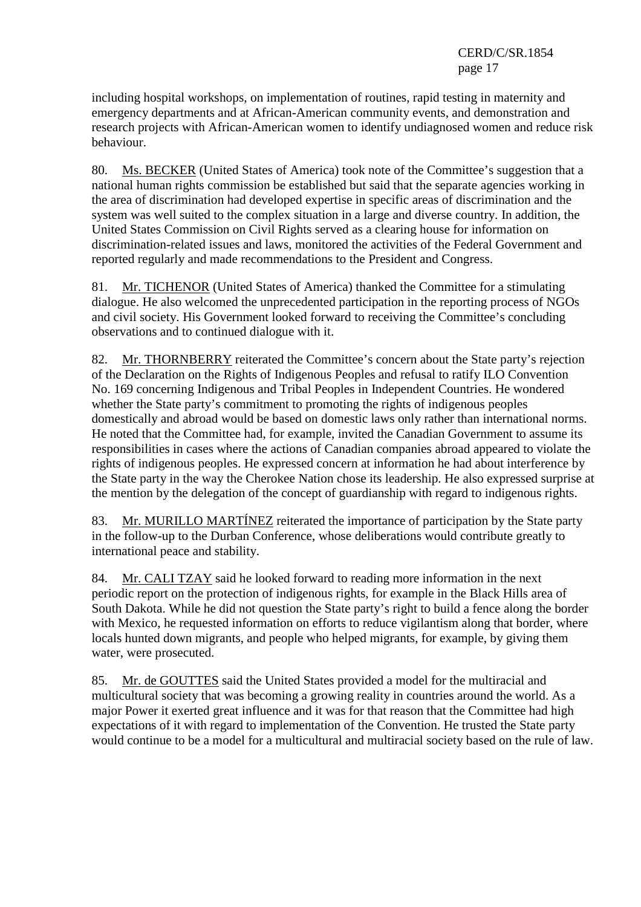including hospital workshops, on implementation of routines, rapid testing in maternity and emergency departments and at African-American community events, and demonstration and research projects with African-American women to identify undiagnosed women and reduce risk behaviour.

80. Ms. BECKER (United States of America) took note of the Committee's suggestion that a national human rights commission be established but said that the separate agencies working in the area of discrimination had developed expertise in specific areas of discrimination and the system was well suited to the complex situation in a large and diverse country. In addition, the United States Commission on Civil Rights served as a clearing house for information on discrimination-related issues and laws, monitored the activities of the Federal Government and reported regularly and made recommendations to the President and Congress.

81. Mr. TICHENOR (United States of America) thanked the Committee for a stimulating dialogue. He also welcomed the unprecedented participation in the reporting process of NGOs and civil society. His Government looked forward to receiving the Committee's concluding observations and to continued dialogue with it.

82. Mr. THORNBERRY reiterated the Committee's concern about the State party's rejection of the Declaration on the Rights of Indigenous Peoples and refusal to ratify ILO Convention No. 169 concerning Indigenous and Tribal Peoples in Independent Countries. He wondered whether the State party's commitment to promoting the rights of indigenous peoples domestically and abroad would be based on domestic laws only rather than international norms. He noted that the Committee had, for example, invited the Canadian Government to assume its responsibilities in cases where the actions of Canadian companies abroad appeared to violate the rights of indigenous peoples. He expressed concern at information he had about interference by the State party in the way the Cherokee Nation chose its leadership. He also expressed surprise at the mention by the delegation of the concept of guardianship with regard to indigenous rights.

83. Mr. MURILLO MARTÍNEZ reiterated the importance of participation by the State party in the follow-up to the Durban Conference, whose deliberations would contribute greatly to international peace and stability.

84. Mr. CALI TZAY said he looked forward to reading more information in the next periodic report on the protection of indigenous rights, for example in the Black Hills area of South Dakota. While he did not question the State party's right to build a fence along the border with Mexico, he requested information on efforts to reduce vigilantism along that border, where locals hunted down migrants, and people who helped migrants, for example, by giving them water, were prosecuted.

85. Mr. de GOUTTES said the United States provided a model for the multiracial and multicultural society that was becoming a growing reality in countries around the world. As a major Power it exerted great influence and it was for that reason that the Committee had high expectations of it with regard to implementation of the Convention. He trusted the State party would continue to be a model for a multicultural and multiracial society based on the rule of law.